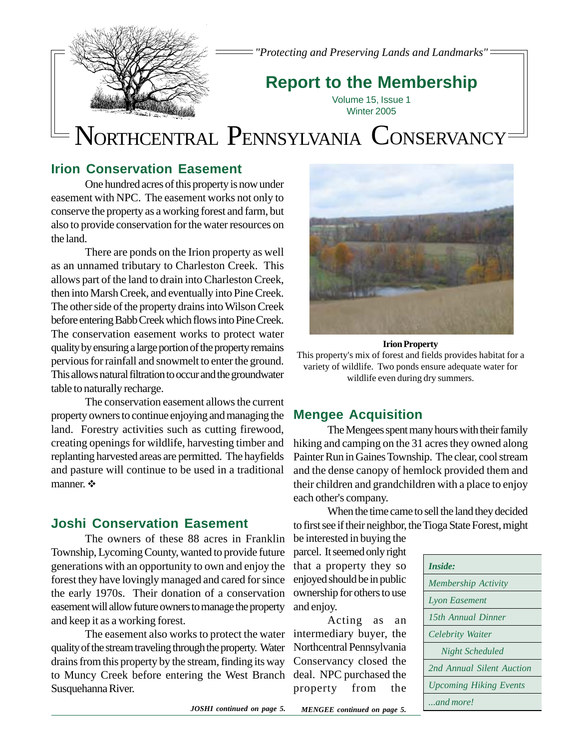

*"Protecting and Preserving Lands and Landmarks"*

## **Report to the Membership**

Volume 15, Issue 1 Winter 2005

# NORTHCENTRAL PENNSYLVANIA CONSERVANCY

### **Irion Conservation Easement**

One hundred acres of this property is now under easement with NPC. The easement works not only to conserve the property as a working forest and farm, but also to provide conservation for the water resources on the land.

There are ponds on the Irion property as well as an unnamed tributary to Charleston Creek. This allows part of the land to drain into Charleston Creek, then into Marsh Creek, and eventually into Pine Creek. The other side of the property drains into Wilson Creek before entering Babb Creek which flows into Pine Creek. The conservation easement works to protect water quality by ensuring a large portion of the property remains pervious for rainfall and snowmelt to enter the ground. This allows natural filtration to occur and the groundwater table to naturally recharge.

The conservation easement allows the current property owners to continue enjoying and managing the land. Forestry activities such as cutting firewood, creating openings for wildlife, harvesting timber and replanting harvested areas are permitted. The hayfields and pasture will continue to be used in a traditional manner. ❖

### **Joshi Conservation Easement**

The owners of these 88 acres in Franklin Township, Lycoming County, wanted to provide future generations with an opportunity to own and enjoy the forest they have lovingly managed and cared for since the early 1970s. Their donation of a conservation easement will allow future owners to manage the property and keep it as a working forest.

The easement also works to protect the water quality of the stream traveling through the property. Water drains from this property by the stream, finding its way to Muncy Creek before entering the West Branch Susquehanna River.



#### **Irion Property**

This property's mix of forest and fields provides habitat for a variety of wildlife. Two ponds ensure adequate water for wildlife even during dry summers.

### **Mengee Acquisition**

The Mengees spent many hours with their family hiking and camping on the 31 acres they owned along Painter Run in Gaines Township. The clear, cool stream and the dense canopy of hemlock provided them and their children and grandchildren with a place to enjoy each other's company.

When the time came to sell the land they decided to first see if their neighbor, the Tioga State Forest, might

be interested in buying the parcel. It seemed only right that a property they so enjoyed should be in public ownership for others to use and enjoy.

Acting as an intermediary buyer, the Northcentral Pennsylvania Conservancy closed the deal. NPC purchased the property from the

| Inside:                       |
|-------------------------------|
| Membership Activity           |
| <b>Lyon Easement</b>          |
| 15th Annual Dinner            |
| Celebrity Waiter              |
| Night Scheduled               |
| 2nd Annual Silent Auction     |
| <b>Upcoming Hiking Events</b> |
| $\ldots$ and more!            |

*JOSHI continued on page 5.*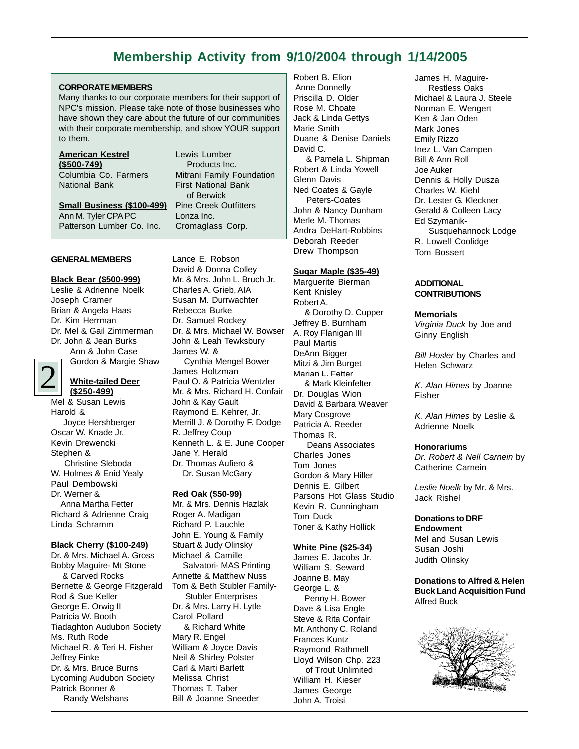### **Membership Activity from 9/10/2004 through 1/14/2005**

#### **CORPORATE MEMBERS**

Many thanks to our corporate members for their support of NPC's mission. Please take note of those businesses who have shown they care about the future of our communities with their corporate membership, and show YOUR support to them.

### **American Kestrel (\$500-749)**

Columbia Co. Farmers National Bank

**Small Business (\$100-499)** Ann M. Tyler CPA PC Patterson Lumber Co. Inc.

#### **GENERAL MEMBERS**

#### **Black Bear (\$500-999)**

Leslie & Adrienne Noelk Joseph Cramer Brian & Angela Haas Dr. Kim Herrman Dr. Mel & Gail Zimmerman Dr. John & Jean Burks Ann & John Case

Gordon & Margie Shaw

#### **White-tailed Deer (\$250-499)**

2 Mel & Susan Lewis Harold & Joyce Hershberger Oscar W. Knade Jr. Kevin Drewencki Stephen & Christine Sleboda W. Holmes & Enid Yealy Paul Dembowski Dr. Werner & Anna Martha Fetter Richard & Adrienne Craig Linda Schramm

#### **Black Cherry (\$100-249)**

Dr. & Mrs. Michael A. Gross Bobby Maguire- Mt Stone & Carved Rocks Bernette & George Fitzgerald Rod & Sue Keller George E. Orwig II Patricia W. Booth Tiadaghton Audubon Society Ms. Ruth Rode Michael R. & Teri H. Fisher Jeffrey Finke Dr. & Mrs. Bruce Burns Lycoming Audubon Society Patrick Bonner & Randy Welshans

Lewis Lumber Products Inc. Mitrani Family Foundation First National Bank of Berwick Pine Creek Outfitters Lonza Inc. Cromaglass Corp.

Lance E. Robson David & Donna Colley Mr. & Mrs. John L. Bruch Jr. Charles A. Grieb, AIA Susan M. Durrwachter Rebecca Burke Dr. Samuel Rockey Dr. & Mrs. Michael W. Bowser John & Leah Tewksbury James W. & Cynthia Mengel Bower James Holtzman Paul O. & Patricia Wentzler Mr. & Mrs. Richard H. Confair John & Kay Gault Raymond E. Kehrer, Jr. Merrill J. & Dorothy F. Dodge R. Jeffrey Coup Kenneth L. & E. June Cooper Jane Y. Herald Dr. Thomas Aufiero & Dr. Susan McGary

#### **Red Oak (\$50-99)**

Mr. & Mrs. Dennis Hazlak Roger A. Madigan Richard P. Lauchle John E. Young & Family Stuart & Judy Olinsky Michael & Camille Salvatori- MAS Printing Annette & Matthew Nuss Tom & Beth Stubler Family- Stubler Enterprises Dr. & Mrs. Larry H. Lytle Carol Pollard & Richard White Mary R. Engel William & Joyce Davis Neil & Shirley Polster Carl & Marti Barlett Melissa Christ Thomas T. Taber Bill & Joanne Sneeder

Robert B. Elion Anne Donnelly Priscilla D. Older Rose M. Choate Jack & Linda Gettys Marie Smith Duane & Denise Daniels David C. & Pamela L. Shipman Robert & Linda Yowell Glenn Davis Ned Coates & Gayle Peters-Coates John & Nancy Dunham Merle M. Thomas Andra DeHart-Robbins Deborah Reeder Drew Thompson

#### **Sugar Maple (\$35-49)**

Marguerite Bierman Kent Knisley Robert A. & Dorothy D. Cupper Jeffrey B. Burnham A. Roy Flanigan III Paul Martis DeAnn Bigger Mitzi & Jim Burget Marian L. Fetter & Mark Kleinfelter Dr. Douglas Wion David & Barbara Weaver Mary Cosgrove Patricia A. Reeder Thomas R. Deans Associates Charles Jones Tom Jones Gordon & Mary Hiller Dennis E. Gilbert Parsons Hot Glass Studio Kevin R. Cunningham Tom Duck Toner & Kathy Hollick

#### **White Pine (\$25-34)**

James E. Jacobs Jr. William S. Seward Joanne B. May George L. & Penny H. Bower Dave & Lisa Engle Steve & Rita Confair Mr. Anthony C. Roland Frances Kuntz Raymond Rathmell Lloyd Wilson Chp. 223 of Trout Unlimited William H. Kieser James George John A. Troisi

James H. Maguire- Restless Oaks Michael & Laura J. Steele Norman E. Wengert Ken & Jan Oden Mark Jones Emily Rizzo Inez L. Van Campen Bill & Ann Roll Joe Auker Dennis & Holly Dusza Charles W. Kiehl Dr. Lester G. Kleckner Gerald & Colleen Lacy Ed Szymanik- Susquehannock Lodge R. Lowell Coolidge Tom Bossert

#### **ADDITIONAL CONTRIBUTIONS**

#### **Memorials**

Virginia Duck by Joe and Ginny English

**Bill Hosler by Charles and** Helen Schwarz

K. Alan Himes by Joanne Fisher

K. Alan Himes by Leslie & Adrienne Noelk

#### **Honorariums**

Dr. Robert & Nell Carnein by Catherine Carnein

Leslie Noelk by Mr. & Mrs. Jack Rishel

**Donations to DRF Endowment** Mel and Susan Lewis Susan Joshi Judith Olinsky

**Donations to Alfred & Helen Buck Land Acquisition Fund** Alfred Buck

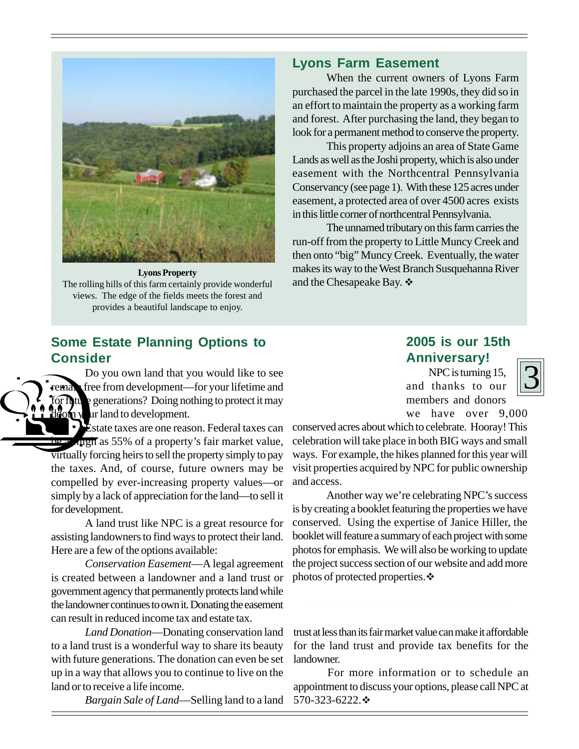

**Lyons Property** The rolling hills of this farm certainly provide wonderful views. The edge of the fields meets the forest and provides a beautiful landscape to enjoy.

### **Some Estate Planning Options to Consider**

Do you own land that you would like to see free from development—for your lifetime and for  $\int$   $\int$   $\frac{1}{\sqrt{2}}$  generations? Doing nothing to protect it may  $\partial$  on  $y$  ar land to development.

Estate taxes are one reason. Federal taxes can high as 55% of a property's fair market value, virtually forcing heirs to sell the property simply to pay the taxes. And, of course, future owners may be compelled by ever-increasing property values—or simply by a lack of appreciation for the land—to sell it for development.

A land trust like NPC is a great resource for assisting landowners to find ways to protect their land. Here are a few of the options available:

*Conservation Easement*—A legal agreement is created between a landowner and a land trust or government agency that permanently protects land while the landowner continues to own it. Donating the easement can result in reduced income tax and estate tax.

*Land Donation*—Donating conservation land to a land trust is a wonderful way to share its beauty with future generations. The donation can even be set up in a way that allows you to continue to live on the land or to receive a life income.

*Bargain Sale of Land*—Selling land to a land

### **Lyons Farm Easement**

When the current owners of Lyons Farm purchased the parcel in the late 1990s, they did so in an effort to maintain the property as a working farm and forest. After purchasing the land, they began to look for a permanent method to conserve the property.

This property adjoins an area of State Game Lands as well as the Joshi property, which is also under easement with the Northcentral Pennsylvania Conservancy (see page 1). With these 125 acres under easement, a protected area of over 4500 acres exists in this little corner of northcentral Pennsylvania.

The unnamed tributary on this farm carries the run-off from the property to Little Muncy Creek and then onto "big" Muncy Creek. Eventually, the water makes its way to the West Branch Susquehanna River and the Chesapeake Bay.  $\div$ 

### **2005 is our 15th Anniversary!**

NPC is turning 15, and thanks to our members and donors



we have over 9,000

conserved acres about which to celebrate. Hooray! This celebration will take place in both BIG ways and small ways. For example, the hikes planned for this year will visit properties acquired by NPC for public ownership and access.

Another way we're celebrating NPC's success is by creating a booklet featuring the properties we have conserved. Using the expertise of Janice Hiller, the booklet will feature a summary of each project with some photos for emphasis. We will also be working to update the project success section of our website and add more photos of protected properties. $\cdot$ 

trust at less than its fair market value can make it affordable for the land trust and provide tax benefits for the landowner.

For more information or to schedule an appointment to discuss your options, please call NPC at 570-323-6222. $\cdot$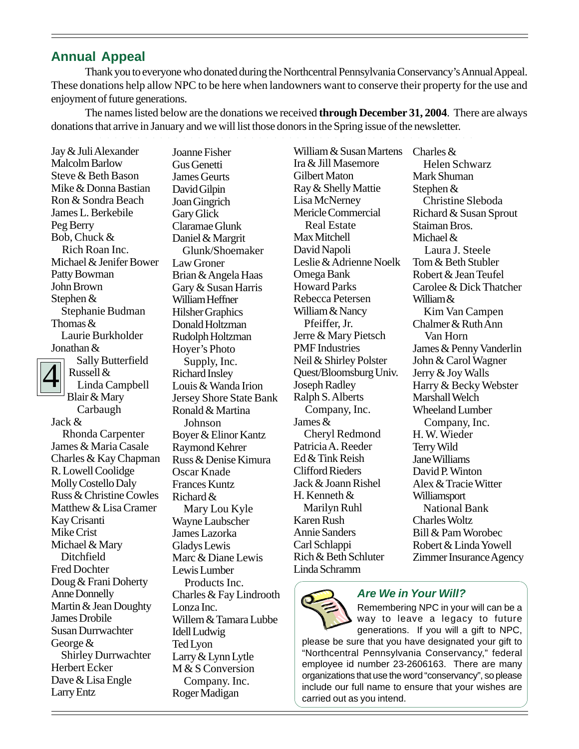### **Annual Appeal**

Thank you to everyone who donated during the Northcentral Pennsylvania Conservancy's Annual Appeal. These donations help allow NPC to be here when landowners want to conserve their property for the use and enjoyment of future generations.

The names listed below are the donations we received **through December 31, 2004**. There are always donations that arrive in January and we will list those donors in the Spring issue of the newsletter.

4 Jay & Juli Alexander Malcolm Barlow Steve & Beth Bason Mike & Donna Bastian Ron & Sondra Beach James L. Berkebile Peg Berry Bob, Chuck & Rich Roan Inc. Michael & Jenifer Bower Patty Bowman John Brown Stephen & Stephanie Budman Thomas & Laurie Burkholder Jonathan & Sally Butterfield Russell & Linda Campbell Blair & Mary Carbaugh Jack & Rhonda Carpenter James & Maria Casale Charles & Kay Chapman R. Lowell Coolidge Molly Costello Daly Russ & Christine Cowles Matthew & Lisa Cramer Kay Crisanti Mike Crist

Michael & Mary Ditchfield Fred Dochter

Anne Donnelly

James Drobile Susan Durrwachter

Herbert Ecker Dave & Lisa Engle

George &

Larry Entz

Doug & Frani Doherty

Martin & Jean Doughty

Shirley Durrwachter

Joanne Fisher Gus Genetti James Geurts David Gilpin Joan Gingrich Gary Glick Claramae Glunk Daniel & Margrit Glunk/Shoemaker Law Groner Brian & Angela Haas Gary & Susan Harris William Heffner Hilsher Graphics Donald Holtzman Rudolph Holtzman Hoyer's Photo Supply, Inc. Richard Insley Louis & Wanda Irion Jersey Shore State Bank Ronald & Martina Johnson Boyer & Elinor Kantz Raymond Kehrer Russ & Denise Kimura Oscar Knade Frances Kuntz Richard & Mary Lou Kyle Wayne Laubscher James Lazorka Gladys Lewis Marc & Diane Lewis Lewis Lumber Products Inc. Charles & Fay Lindrooth Lonza Inc. Willem & Tamara Lubbe Idell Ludwig Ted Lyon Larry & Lynn Lytle M & S Conversion Company. Inc. Roger Madigan

William & Susan Martens Ira & Jill Masemore Gilbert Maton Ray & Shelly Mattie Lisa McNerney Mericle Commercial Real Estate Max Mitchell David Napoli Leslie & Adrienne Noelk Omega Bank Howard Parks Rebecca Petersen William & Nancy Pfeiffer, Jr. Jerre & Mary Pietsch PMF Industries Neil & Shirley Polster Quest/Bloomsburg Univ. Joseph Radley Ralph S. Alberts Company, Inc. James & Cheryl Redmond Patricia A. Reeder Ed & Tink Reish Clifford Rieders Jack & Joann Rishel H. Kenneth & Marilyn Ruhl Karen Rush Annie Sanders Carl Schlappi Rich & Beth Schluter Linda Schramm

Charles & Helen Schwarz Mark Shuman Stephen & Christine Sleboda Richard & Susan Sprout Staiman Bros. Michael & Laura J. Steele Tom & Beth Stubler Robert & Jean Teufel Carolee & Dick Thatcher William & Kim Van Campen Chalmer & Ruth Ann Van Horn James & Penny Vanderlin John & Carol Wagner Jerry & Joy Walls Harry & Becky Webster Marshall Welch Wheeland Lumber Company, Inc. H. W. Wieder Terry Wild Jane Williams David P. Winton Alex & Tracie Witter Williamsport National Bank Charles Woltz Bill & Pam Worobec Robert & Linda Yowell Zimmer Insurance Agency



#### **Are We in Your Will?**

Remembering NPC in your will can be a way to leave a legacy to future generations. If you will a gift to NPC,

please be sure that you have designated your gift to "Northcentral Pennsylvania Conservancy," federal employee id number 23-2606163. There are many organizations that use the word "conservancy", so please include our full name to ensure that your wishes are carried out as you intend.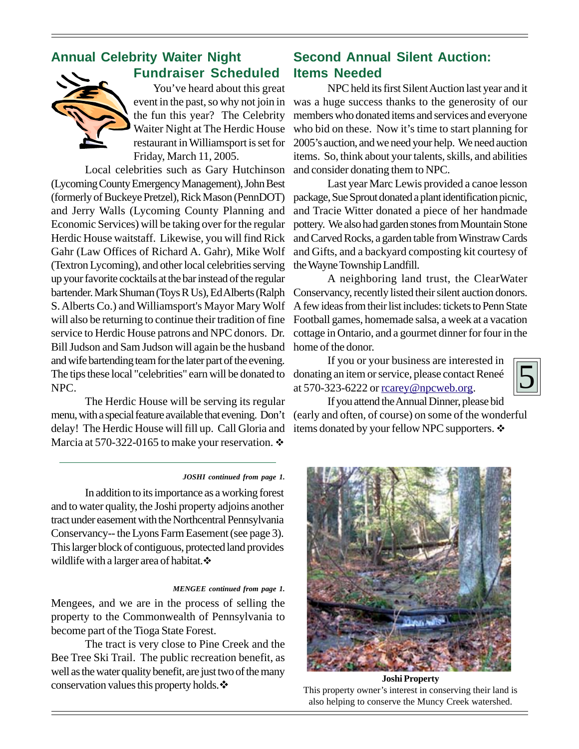### **Annual Celebrity Waiter Night Fundraiser Scheduled**



You've heard about this great event in the past, so why not join in the fun this year? The Celebrity Waiter Night at The Herdic House restaurant in Williamsport is set for Friday, March 11, 2005.

Local celebrities such as Gary Hutchinson (Lycoming County Emergency Management), John Best (formerly of Buckeye Pretzel), Rick Mason (PennDOT) and Jerry Walls (Lycoming County Planning and Economic Services) will be taking over for the regular Herdic House waitstaff. Likewise, you will find Rick Gahr (Law Offices of Richard A. Gahr), Mike Wolf (Textron Lycoming), and other local celebrities serving up your favorite cocktails at the bar instead of the regular bartender. Mark Shuman (Toys R Us), Ed Alberts (Ralph S. Alberts Co.) and Williamsport's Mayor Mary Wolf will also be returning to continue their tradition of fine service to Herdic House patrons and NPC donors. Dr. Bill Judson and Sam Judson will again be the husband and wife bartending team for the later part of the evening. The tips these local "celebrities" earn will be donated to NPC.

The Herdic House will be serving its regular menu, with a special feature available that evening. Don't delay! The Herdic House will fill up. Call Gloria and Marcia at 570-322-0165 to make your reservation.  $\cdot$ 

### **Second Annual Silent Auction: Items Needed**

NPC held its first Silent Auction last year and it was a huge success thanks to the generosity of our members who donated items and services and everyone who bid on these. Now it's time to start planning for 2005's auction, and we need your help. We need auction items. So, think about your talents, skills, and abilities and consider donating them to NPC.

Last year Marc Lewis provided a canoe lesson package, Sue Sprout donated a plant identification picnic, and Tracie Witter donated a piece of her handmade pottery. We also had garden stones from Mountain Stone and Carved Rocks, a garden table from Winstraw Cards and Gifts, and a backyard composting kit courtesy of the Wayne Township Landfill.

A neighboring land trust, the ClearWater Conservancy, recently listed their silent auction donors. A few ideas from their list includes: tickets to Penn State Football games, homemade salsa, a week at a vacation cottage in Ontario, and a gourmet dinner for four in the home of the donor.

If you or your business are interested in donating an item or service, please contact Reneé at 570-323-6222 or rcarey@npcweb.org.

5

If you attend the Annual Dinner, please bid (early and often, of course) on some of the wonderful items donated by your fellow NPC supporters.  $\mathbf{\hat{*}}$ 

#### *JOSHI continued from page 1.*

In addition to its importance as a working forest and to water quality, the Joshi property adjoins another tract under easement with the Northcentral Pennsylvania Conservancy-- the Lyons Farm Easement (see page 3). This larger block of contiguous, protected land provides wildlife with a larger area of habitat. $\cdot$ 

#### *MENGEE continued from page 1.*

Mengees, and we are in the process of selling the property to the Commonwealth of Pennsylvania to become part of the Tioga State Forest.

The tract is very close to Pine Creek and the Bee Tree Ski Trail. The public recreation benefit, as well as the water quality benefit, are just two of the many conservation values this property holds. $\cdot$ 



**Joshi Property** This property owner's interest in conserving their land is also helping to conserve the Muncy Creek watershed.